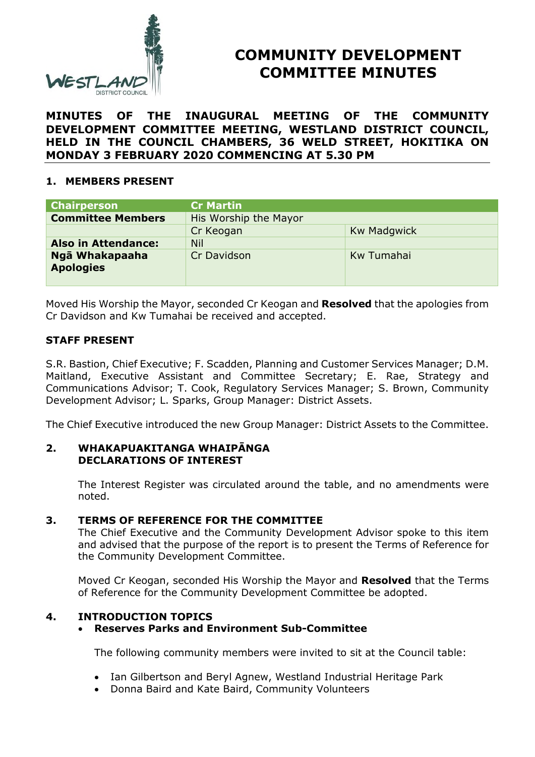

# **COMMUNITY DEVELOPMENT COMMITTEE MINUTES**

**MINUTES OF THE INAUGURAL MEETING OF THE COMMUNITY DEVELOPMENT COMMITTEE MEETING, WESTLAND DISTRICT COUNCIL, HELD IN THE COUNCIL CHAMBERS, 36 WELD STREET, HOKITIKA ON MONDAY 3 FEBRUARY 2020 COMMENCING AT 5.30 PM**

## **1. MEMBERS PRESENT**

| <b>Chairperson</b>                 | <b>Cr Martin</b>      |                    |
|------------------------------------|-----------------------|--------------------|
| <b>Committee Members</b>           | His Worship the Mayor |                    |
|                                    | Cr Keogan             | <b>Kw Madgwick</b> |
| <b>Also in Attendance:</b>         | <b>Nil</b>            |                    |
| Ngā Whakapaaha<br><b>Apologies</b> | Cr Davidson           | Kw Tumahai         |

Moved His Worship the Mayor, seconded Cr Keogan and **Resolved** that the apologies from Cr Davidson and Kw Tumahai be received and accepted.

# **STAFF PRESENT**

S.R. Bastion, Chief Executive; F. Scadden, Planning and Customer Services Manager; D.M. Maitland, Executive Assistant and Committee Secretary; E. Rae, Strategy and Communications Advisor; T. Cook, Regulatory Services Manager; S. Brown, Community Development Advisor; L. Sparks, Group Manager: District Assets.

The Chief Executive introduced the new Group Manager: District Assets to the Committee.

## **2. WHAKAPUAKITANGA WHAIPĀNGA DECLARATIONS OF INTEREST**

The Interest Register was circulated around the table, and no amendments were noted.

## **3. TERMS OF REFERENCE FOR THE COMMITTEE**

The Chief Executive and the Community Development Advisor spoke to this item and advised that the purpose of the report is to present the Terms of Reference for the Community Development Committee.

Moved Cr Keogan, seconded His Worship the Mayor and **Resolved** that the Terms of Reference for the Community Development Committee be adopted.

# **4. INTRODUCTION TOPICS**

# **Reserves Parks and Environment Sub-Committee**

The following community members were invited to sit at the Council table:

- Ian Gilbertson and Beryl Agnew, Westland Industrial Heritage Park
- Donna Baird and Kate Baird, Community Volunteers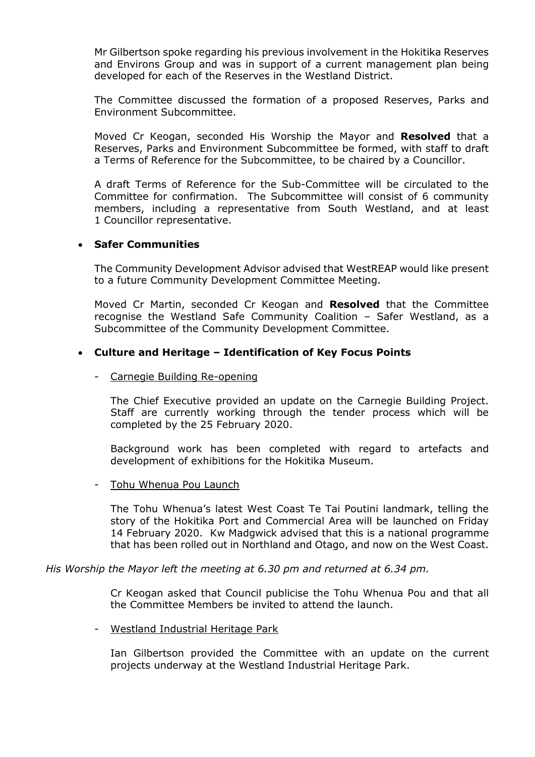Mr Gilbertson spoke regarding his previous involvement in the Hokitika Reserves and Environs Group and was in support of a current management plan being developed for each of the Reserves in the Westland District.

The Committee discussed the formation of a proposed Reserves, Parks and Environment Subcommittee.

Moved Cr Keogan, seconded His Worship the Mayor and **Resolved** that a Reserves, Parks and Environment Subcommittee be formed, with staff to draft a Terms of Reference for the Subcommittee, to be chaired by a Councillor.

A draft Terms of Reference for the Sub-Committee will be circulated to the Committee for confirmation. The Subcommittee will consist of 6 community members, including a representative from South Westland, and at least 1 Councillor representative.

## **Safer Communities**

The Community Development Advisor advised that WestREAP would like present to a future Community Development Committee Meeting.

Moved Cr Martin, seconded Cr Keogan and **Resolved** that the Committee recognise the Westland Safe Community Coalition – Safer Westland, as a Subcommittee of the Community Development Committee.

### **Culture and Heritage – Identification of Key Focus Points**

#### - Carnegie Building Re-opening

The Chief Executive provided an update on the Carnegie Building Project. Staff are currently working through the tender process which will be completed by the 25 February 2020.

Background work has been completed with regard to artefacts and development of exhibitions for the Hokitika Museum.

#### - Tohu Whenua Pou Launch

The Tohu Whenua's latest West Coast Te Tai Poutini landmark, telling the story of the Hokitika Port and Commercial Area will be launched on Friday 14 February 2020. Kw Madgwick advised that this is a national programme that has been rolled out in Northland and Otago, and now on the West Coast.

*His Worship the Mayor left the meeting at 6.30 pm and returned at 6.34 pm.*

Cr Keogan asked that Council publicise the Tohu Whenua Pou and that all the Committee Members be invited to attend the launch.

#### - Westland Industrial Heritage Park

Ian Gilbertson provided the Committee with an update on the current projects underway at the Westland Industrial Heritage Park.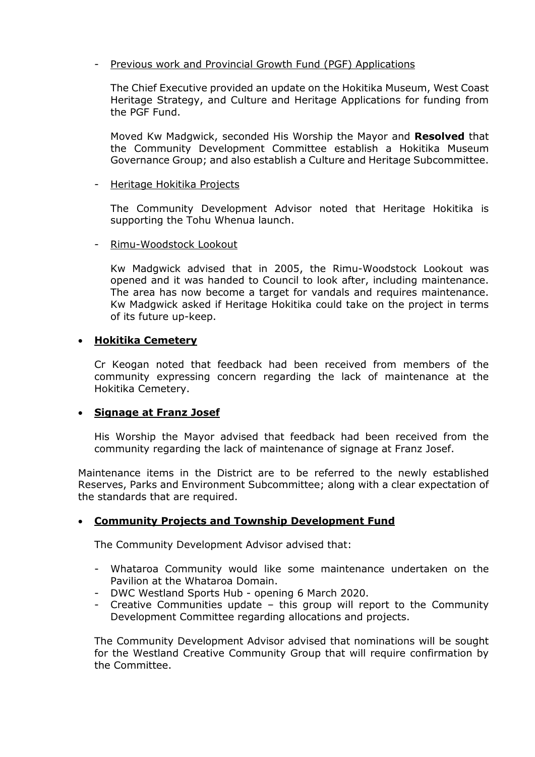## - Previous work and Provincial Growth Fund (PGF) Applications

The Chief Executive provided an update on the Hokitika Museum, West Coast Heritage Strategy, and Culture and Heritage Applications for funding from the PGF Fund.

Moved Kw Madgwick, seconded His Worship the Mayor and **Resolved** that the Community Development Committee establish a Hokitika Museum Governance Group; and also establish a Culture and Heritage Subcommittee.

## - Heritage Hokitika Projects

The Community Development Advisor noted that Heritage Hokitika is supporting the Tohu Whenua launch.

## - Rimu-Woodstock Lookout

Kw Madgwick advised that in 2005, the Rimu-Woodstock Lookout was opened and it was handed to Council to look after, including maintenance. The area has now become a target for vandals and requires maintenance. Kw Madgwick asked if Heritage Hokitika could take on the project in terms of its future up-keep.

## **Hokitika Cemetery**

Cr Keogan noted that feedback had been received from members of the community expressing concern regarding the lack of maintenance at the Hokitika Cemetery.

# **Signage at Franz Josef**

His Worship the Mayor advised that feedback had been received from the community regarding the lack of maintenance of signage at Franz Josef.

Maintenance items in the District are to be referred to the newly established Reserves, Parks and Environment Subcommittee; along with a clear expectation of the standards that are required.

# **Community Projects and Township Development Fund**

The Community Development Advisor advised that:

- Whataroa Community would like some maintenance undertaken on the Pavilion at the Whataroa Domain.
- DWC Westland Sports Hub opening 6 March 2020.
- Creative Communities update this group will report to the Community Development Committee regarding allocations and projects.

The Community Development Advisor advised that nominations will be sought for the Westland Creative Community Group that will require confirmation by the Committee.